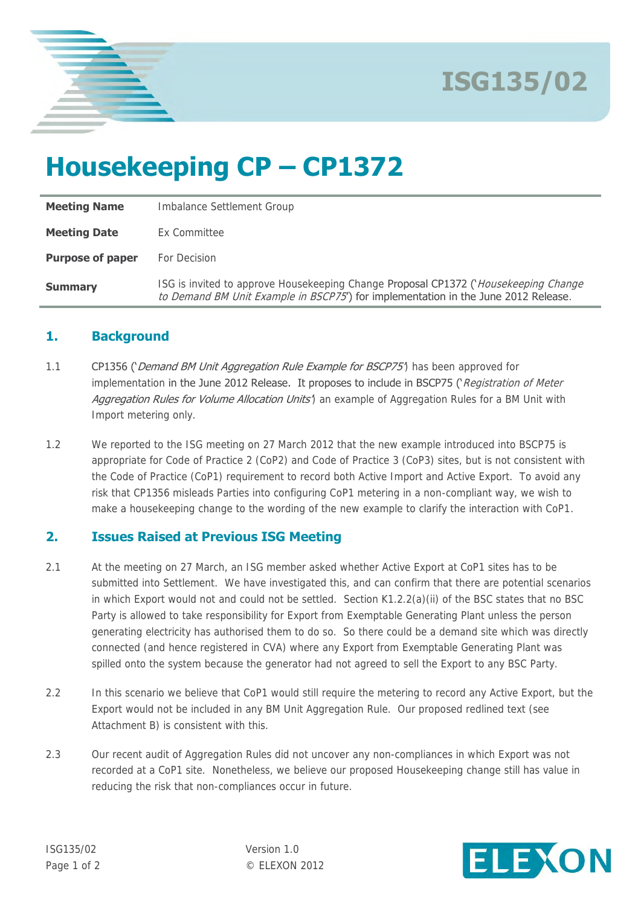

## **Housekeeping CP – CP1372**

| <b>Meeting Name</b>     | Imbalance Settlement Group                                                                                                                                                              |
|-------------------------|-----------------------------------------------------------------------------------------------------------------------------------------------------------------------------------------|
| <b>Meeting Date</b>     | Ex Committee                                                                                                                                                                            |
| <b>Purpose of paper</b> | For Decision                                                                                                                                                                            |
| <b>Summary</b>          | ISG is invited to approve Housekeeping Change <b>Proposal CP1372 (</b> <i>Housekeeping Change</i><br>to Demand BM Unit Example in BSCP75') for implementation in the June 2012 Release. |

### **1. Background**

- 1.1 CP1356 ('Demand BM Unit Aggregation Rule Example for BSCP75') has been approved for implementation in the June 2012 Release. It proposes to include in BSCP75 (*Registration of Meter* Agareaation Rules for Volume Allocation Units<sup>4</sup> an example of Aggregation Rules for a BM Unit with Import metering only.
- 1.2 We reported to the ISG meeting on 27 March 2012 that the new example introduced into BSCP75 is appropriate for Code of Practice 2 (CoP2) and Code of Practice 3 (CoP3) sites, but is not consistent with the Code of Practice (CoP1) requirement to record both Active Import and Active Export. To avoid any risk that CP1356 misleads Parties into configuring CoP1 metering in a non-compliant way, we wish to make a housekeeping change to the wording of the new example to clarify the interaction with CoP1.

## **2. Issues Raised at Previous ISG Meeting**

- 2.1 At the meeting on 27 March, an ISG member asked whether Active Export at CoP1 sites has to be submitted into Settlement. We have investigated this, and can confirm that there are potential scenarios in which Export would not and could not be settled. Section K1.2.2(a)(ii) of the BSC states that no BSC Party is allowed to take responsibility for Export from Exemptable Generating Plant unless the person generating electricity has authorised them to do so. So there could be a demand site which was directly connected (and hence registered in CVA) where any Export from Exemptable Generating Plant was spilled onto the system because the generator had not agreed to sell the Export to any BSC Party.
- 2.2 In this scenario we believe that CoP1 would still require the metering to record any Active Export, but the Export would not be included in any BM Unit Aggregation Rule. Our proposed redlined text (see Attachment B) is consistent with this.
- 2.3 Our recent audit of Aggregation Rules did not uncover any non-compliances in which Export was not recorded at a CoP1 site. Nonetheless, we believe our proposed Housekeeping change still has value in reducing the risk that non-compliances occur in future.